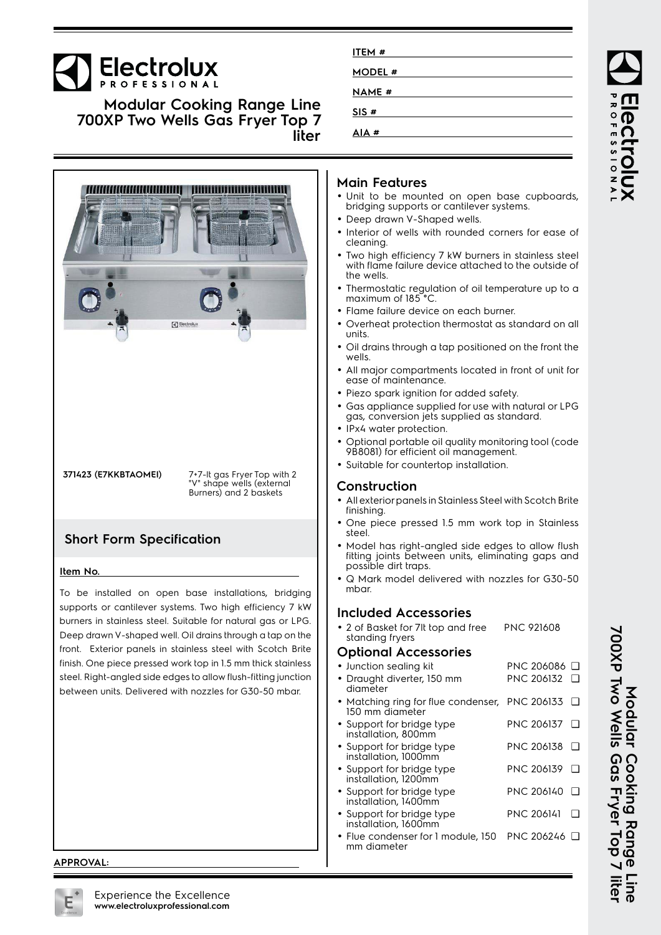# **Electrolux**

**Modular Cooking Range Line 700XP Two Wells Gas Fryer Top 7 liter**



**371423 (E7KKBTAOMEI)** 7+7-lt gas Fryer Top with 2 "V" shape wells (external Burners) and 2 baskets

## **Short Form Specification**

#### **Item No.**

To be installed on open base installations, bridging supports or cantilever systems. Two high efficiency 7 kW burners in stainless steel. Suitable for natural gas or LPG. Deep drawn V-shaped well. Oil drains through a tap on the front. Exterior panels in stainless steel with Scotch Brite finish. One piece pressed work top in 1.5 mm thick stainless steel. Right-angled side edges to allow flush-fitting junction between units. Delivered with nozzles for G30-50 mbar.

#### **APPROVAL:**

| ITEM #        |  |
|---------------|--|
| MODEL #       |  |
| <b>NAME</b> # |  |
| SIS #         |  |
| AIA#          |  |
|               |  |

### **Main Features**

- Unit to be mounted on open base cupboards, bridging supports or cantilever systems.
- Deep drawn V-Shaped wells.
- Interior of wells with rounded corners for ease of cleaning.
- • Two high efficiency 7 kW burners in stainless steel with flame failure device attached to the outside of the wells.
- Thermostatic regulation of oil temperature up to a maximum of 185°C
- Flame failure device on each burner.
- Overheat protection thermostat as standard on all units.
- Oil drains through a tap positioned on the front the wells.
- All major compartments located in front of unit for ease of maintenance.
- Piezo spark ignition for added safety.
- Gas appliance supplied for use with natural or LPG gas, conversion jets supplied as standard.
- •IPx4 water protection.
- • Optional portable oil quality monitoring tool (code 9B8081) for efficient oil management.
- Suitable for countertop installation.

#### **Construction**

- • All exterior panels in Stainless Steel with Scotch Brite finishing.
- • One piece pressed 1.5 mm work top in Stainless steel.
- • Model has right-angled side edges to allow flush fitting joints between units, eliminating gaps and possible dirt traps.
- • Q Mark model delivered with nozzles for G30-50 mbar.

## **Included Accessories**

• 2 of Basket for 7lt top and free standing fryers PNC 921608

#### **Optional Accessories**

•

- Junction sealing kit PNC 206086 ❑ Draught diverter, 150 mm PNC 206132 ❑
- diameter • Matching ring for flue condenser, PNC 206133 ❑ 150 mm diameter
- Support for bridge type PNC 206137 ❑
- installation, 800mm • Support for bridge type PNC 206138 ❑
- installation, 1000mm • Support for bridge type PNC 206139 ❑
- installation, 1200mm • Support for bridge type installation, 1400mm PNC 206140 ❑
- Support for bridge type installation, 1600mm PNC 206141 ❑
- Flue condenser for 1 module, 150 PNC 206246 ❑mm diameter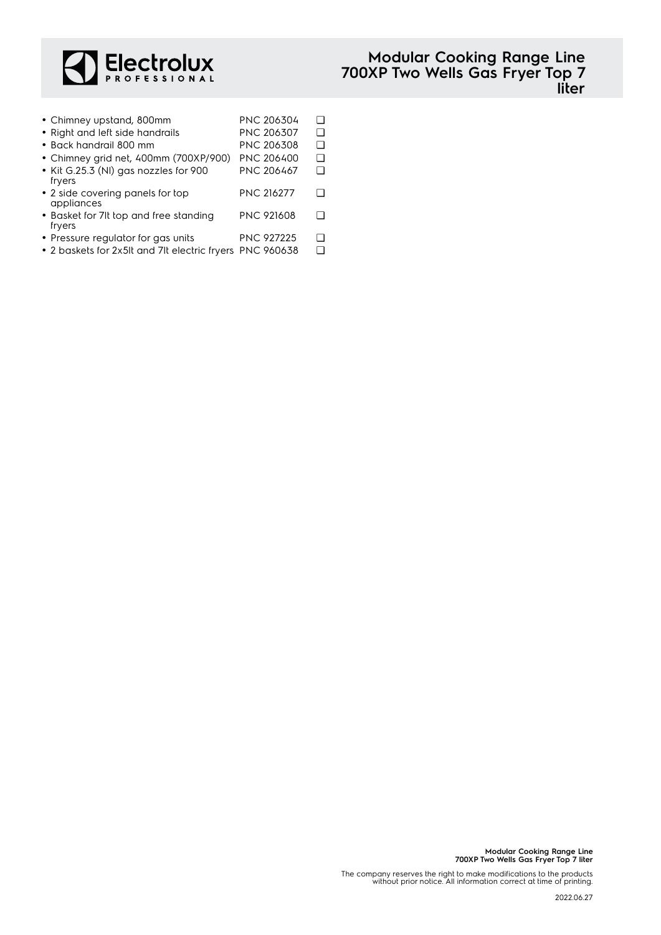

| • Chimney upstand, 800mm                                 | PNC 206304        | П |
|----------------------------------------------------------|-------------------|---|
| • Right and left side handrails                          | PNC 206307        | П |
| • Back handrail 800 mm                                   | PNC 206308        | П |
| • Chimney grid net, 400mm (700XP/900)                    | <b>PNC 206400</b> | П |
| • Kit G.25.3 (NI) gas nozzles for 900<br>fryers          | PNC 206467        | П |
| • 2 side covering panels for top<br>appliances           | <b>PNC 216277</b> | ┐ |
| • Basket for 7It top and free standing<br>fryers         | <b>PNC 921608</b> | П |
| • Pressure regulator for gas units                       | <b>PNC 927225</b> | ┐ |
| • 2 baskets for 2x5lt and 7lt electric fryers PNC 960638 |                   | □ |